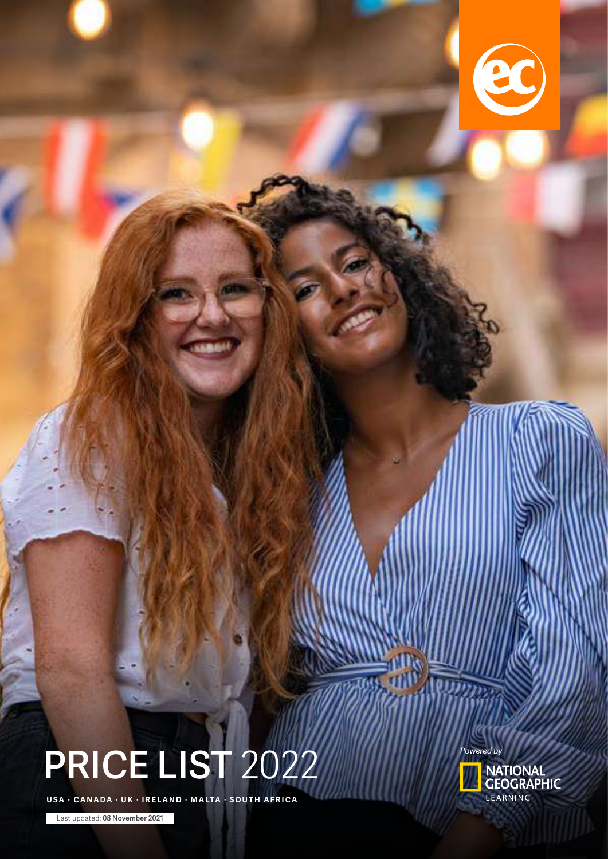

# **PRICE LIST** 2022

U SA · CANADA · UK · IRELAND · MALTA · SOUTH AFRICA

Last updated: **08 November 2021**

*Powered by*

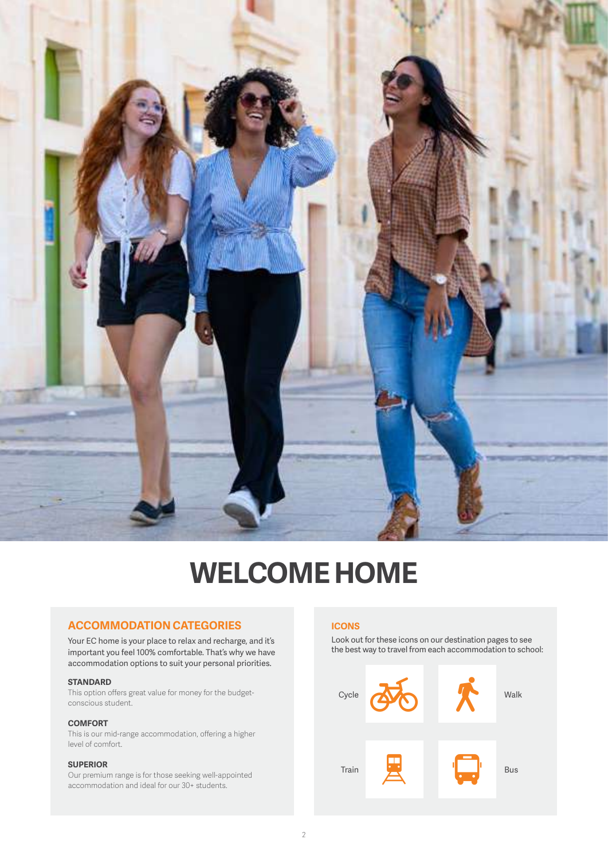

# **WELCOME HOME**

### **ACCOMMODATION CATEGORIES**

Your EC home is your place to relax and recharge, and it's important you feel 100% comfortable. That's why we have accommodation options to suit your personal priorities.

### **STANDARD**

This option offers great value for money for the budgetconscious student.

### **COMFORT**

This is our mid-range accommodation, offering a higher level of comfort.

### **SUPERIOR**

Our premium range is for those seeking well-appointed accommodation and ideal for our 30+ students.

### **ICONS**

Look out for these icons on our destination pages to see the best way to travel from each accommodation to school:

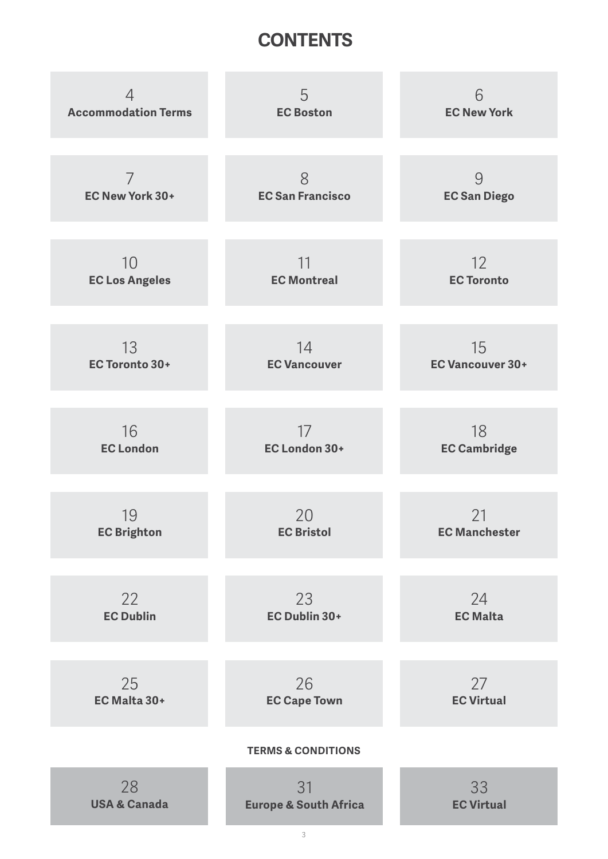# **CONTENTS**

| 4                          | 5                                | 6                       |
|----------------------------|----------------------------------|-------------------------|
| <b>Accommodation Terms</b> | <b>EC Boston</b>                 | <b>EC New York</b>      |
| $\overline{7}$             | 8                                | 9                       |
| EC New York 30+            | <b>EC San Francisco</b>          | <b>EC San Diego</b>     |
| 10                         | 11                               | 12                      |
| <b>EC Los Angeles</b>      | <b>EC Montreal</b>               | <b>EC Toronto</b>       |
| 13                         | 14                               | 15                      |
| <b>EC Toronto 30+</b>      | <b>EC Vancouver</b>              | <b>EC Vancouver 30+</b> |
| 16                         | 17                               | 18                      |
| <b>EC London</b>           | EC London 30+                    | <b>EC Cambridge</b>     |
| 19                         | 20                               | 21                      |
| <b>EC Brighton</b>         | <b>EC Bristol</b>                | <b>EC Manchester</b>    |
| 22                         | 23                               | 24                      |
| <b>EC Dublin</b>           | EC Dublin 30+                    | <b>EC Malta</b>         |
| 25                         | 26                               | 27                      |
| EC Malta 30+               | <b>EC Cape Town</b>              | <b>EC Virtual</b>       |
|                            | <b>TERMS &amp; CONDITIONS</b>    |                         |
| 28                         | 31                               | 33                      |
| <b>USA &amp; Canada</b>    | <b>Europe &amp; South Africa</b> | <b>EC Virtual</b>       |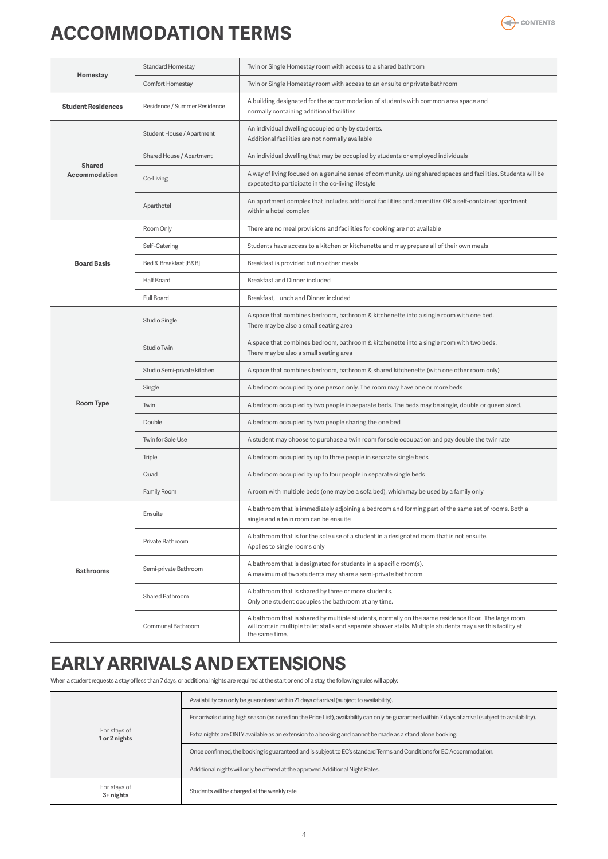# <span id="page-3-0"></span>**ACCOMMODATION TERMS**



|                                       | <b>Standard Homestay</b>     | Twin or Single Homestay room with access to a shared bathroom                                                                                                                                                                        |  |  |
|---------------------------------------|------------------------------|--------------------------------------------------------------------------------------------------------------------------------------------------------------------------------------------------------------------------------------|--|--|
| Homestay                              | Comfort Homestay             | Twin or Single Homestay room with access to an ensuite or private bathroom                                                                                                                                                           |  |  |
| <b>Student Residences</b>             | Residence / Summer Residence | A building designated for the accommodation of students with common area space and<br>normally containing additional facilities                                                                                                      |  |  |
|                                       | Student House / Apartment    | An individual dwelling occupied only by students.<br>Additional facilities are not normally available                                                                                                                                |  |  |
|                                       | Shared House / Apartment     | An individual dwelling that may be occupied by students or employed individuals                                                                                                                                                      |  |  |
| <b>Shared</b><br><b>Accommodation</b> | Co-Living                    | A way of living focused on a genuine sense of community, using shared spaces and facilities. Students will be<br>expected to participate in the co-living lifestyle                                                                  |  |  |
|                                       | Aparthotel                   | An apartment complex that includes additional facilities and amenities OR a self-contained apartment<br>within a hotel complex                                                                                                       |  |  |
|                                       | Room Only                    | There are no meal provisions and facilities for cooking are not available                                                                                                                                                            |  |  |
|                                       | Self-Catering                | Students have access to a kitchen or kitchenette and may prepare all of their own meals                                                                                                                                              |  |  |
| <b>Board Basis</b>                    | Bed & Breakfast [B&B]        | Breakfast is provided but no other meals                                                                                                                                                                                             |  |  |
|                                       | <b>Half Board</b>            | Breakfast and Dinner included                                                                                                                                                                                                        |  |  |
|                                       | Full Board                   | Breakfast, Lunch and Dinner included                                                                                                                                                                                                 |  |  |
|                                       | <b>Studio Single</b>         | A space that combines bedroom, bathroom & kitchenette into a single room with one bed.<br>There may be also a small seating area                                                                                                     |  |  |
|                                       | Studio Twin                  | A space that combines bedroom, bathroom & kitchenette into a single room with two beds.<br>There may be also a small seating area                                                                                                    |  |  |
|                                       | Studio Semi-private kitchen  | A space that combines bedroom, bathroom & shared kitchenette (with one other room only)                                                                                                                                              |  |  |
|                                       | Single                       | A bedroom occupied by one person only. The room may have one or more beds                                                                                                                                                            |  |  |
| <b>Room Type</b>                      | Twin                         | A bedroom occupied by two people in separate beds. The beds may be single, double or queen sized.                                                                                                                                    |  |  |
|                                       | Double                       | A bedroom occupied by two people sharing the one bed                                                                                                                                                                                 |  |  |
|                                       | Twin for Sole Use            | A student may choose to purchase a twin room for sole occupation and pay double the twin rate                                                                                                                                        |  |  |
|                                       | Triple                       | A bedroom occupied by up to three people in separate single beds                                                                                                                                                                     |  |  |
|                                       | Quad                         | A bedroom occupied by up to four people in separate single beds                                                                                                                                                                      |  |  |
|                                       | Family Room                  | A room with multiple beds (one may be a sofa bed), which may be used by a family only                                                                                                                                                |  |  |
|                                       | Ensuite                      | A bathroom that is immediately adjoining a bedroom and forming part of the same set of rooms. Both a<br>single and a twin room can be ensuite                                                                                        |  |  |
|                                       | Private Bathroom             | A bathroom that is for the sole use of a student in a designated room that is not ensuite.<br>Applies to single rooms only                                                                                                           |  |  |
| <b>Bathrooms</b>                      | Semi-private Bathroom        | A bathroom that is designated for students in a specific room(s).<br>A maximum of two students may share a semi-private bathroom                                                                                                     |  |  |
|                                       | Shared Bathroom              | A bathroom that is shared by three or more students.<br>Only one student occupies the bathroom at any time.                                                                                                                          |  |  |
|                                       | Communal Bathroom            | A bathroom that is shared by multiple students, normally on the same residence floor. The large room<br>will contain multiple toilet stalls and separate shower stalls. Multiple students may use this facility at<br>the same time. |  |  |

# **EARLY ARRIVALS AND EXTENSIONS**

When a student requests a stay of less than 7 days, or additional nights are required at the start or end of a stay, the following rules will apply:

|                               | Availability can only be guaranteed within 21 days of arrival (subject to availability).                                                              |
|-------------------------------|-------------------------------------------------------------------------------------------------------------------------------------------------------|
| For stays of<br>1 or 2 nights | For arrivals during high season (as noted on the Price List), availability can only be guaranteed within 7 days of arrival (subject to availability). |
|                               | Extra nights are ONLY available as an extension to a booking and cannot be made as a stand alone booking.                                             |
|                               | Once confirmed, the booking is guaranteed and is subject to EC's standard Terms and Conditions for EC Accommodation.                                  |
|                               | Additional nights will only be offered at the approved Additional Night Rates.                                                                        |
| For stays of<br>$3 +$ nights  | Students will be charged at the weekly rate.                                                                                                          |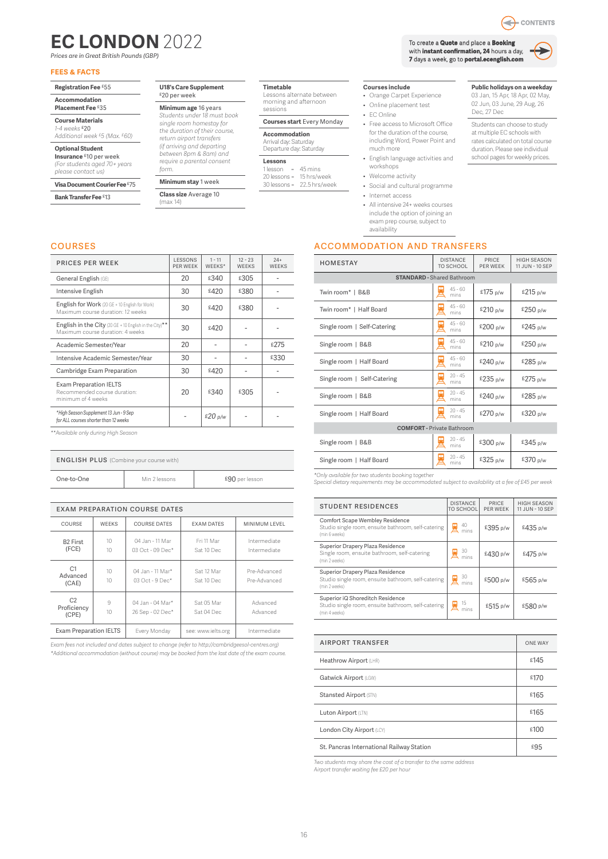# <span id="page-4-0"></span>**EC LONDON** 2022

*Prices are in Great British Pounds (GBP)*

### **FEES & FACTS**

**Registration Fee** £55

#### **Accommodation Placement Fee** £35

**Course Materials**

*1-4 weeks* £20 *Additional week £5 (Max. £60)*

**Optional Student**

**Insurance** £10 per week *(For students aged 70+ years please contact us)*

**Visa Document Courier Fee** £75

**Bank Transfer Fee** £13

#### **U18's Care Supplement** £20 per week

*Students under 18 must book* 

*(if arriving and departing between 8pm & 8am) and require a parental consent* 

*form.*  **Minimum stay** 1 week

**Class size** Average 10 (max 14)

### **Timetable**

Lessons alternate between morning and afternoon sessions

### **Courses start** Every Monday

20 lessons =<br>30 lessons = 22.5 hrs/week

To create a **Quote** and place a **Booking** with **instant confirmation, 24** hours a day, **7** days a week, go to **portal.ecenglish.com**



CONTENTS

**Public holidays on a weekday** 03 Jan, 15 Apr, 18 Apr, 02 May, 02 Jun, 03 June, 29 Aug, 26

Students can choose to study at multiple EC schools with rates calculated on total course duration. Please see individual school pages for weekly prices.

Dec, 27 Dec

#### **Courses include**

- Orange Carpet Experience
- Online placement test
- EC Online
- Free access to Microsoft Office for the duration of the course, including Word, Power Point and much more
- English language activities and workshops
- Welcome activity
- Social and cultural programme • Internet access
- All intensive 24+ weeks courses
- include the option of joining an
- exam prep course, subject to availability

### accommodation and transfers

| HOMESTAY                          | <b>DISTANCE</b><br>TO SCHOOL      | PRICE<br>PFR WFFK | <b>HIGH SEASON</b><br>11 JUN - 10 SEP |  |  |  |
|-----------------------------------|-----------------------------------|-------------------|---------------------------------------|--|--|--|
|                                   | <b>STANDARD - Shared Bathroom</b> |                   |                                       |  |  |  |
| Twin room*   B&B                  | $45 - 60$<br>mins                 | £175 p/w          | £215 p/w                              |  |  |  |
| Twin room*   Half Board           | $45 - 60$<br>mins                 | £210 p/w          | £250 p/w                              |  |  |  |
| Single room   Self-Catering       | $45 - 60$<br>mins                 | £200 p/w          | £245 p/w                              |  |  |  |
| Single room   B&B                 | $45 - 60$<br>mins                 | £210 p/w          | £250 p/w                              |  |  |  |
| Single room   Half Board          | $45 - 60$<br>E<br>mins            | £240 p/w          | £285 p/w                              |  |  |  |
| Single room   Self-Catering       | $20 - 45$<br>E<br>mins            | £235 p/w          | £275 p/w                              |  |  |  |
| Single room   B&B                 | $20 - 45$<br>즈<br>mins            | £240 p/w          | £285 p/w                              |  |  |  |
| Single room   Half Board          | $20 - 45$<br>mins                 | £270 p/w          | £320 p/w                              |  |  |  |
| <b>COMFORT</b> - Private Bathroom |                                   |                   |                                       |  |  |  |
| Single room   B&B                 | $20 - 45$<br>mins                 | £300 p/w          | £345 p/w                              |  |  |  |
| Single room   Half Board          | $20 - 45$<br>mins                 | £325 p/w          | £370 p/w                              |  |  |  |

*\*Only available for two students booking together Special dietary requirements may be accommodated subject to availability at a fee of £45 per week* 

| <b>STUDENT RESIDENCES</b>                                                                                | <b>DISTANCE</b><br>TO SCHOOL | PRICE<br>PFR WFFK | <b>HIGH SEASON</b><br>11 JUN - 10 SEP |
|----------------------------------------------------------------------------------------------------------|------------------------------|-------------------|---------------------------------------|
| Comfort Scape Wembley Residence<br>Studio single room, ensuite bathroom, self-catering<br>(min 6 weeks)  | 40<br>mins                   | £395 p/w          | £435 p/w                              |
| Superior Drapery Plaza Residence<br>Single room, ensuite bathroom, self-catering<br>(min 2 weeks)        | 30<br>mins                   | £430 p/w          | £475 p/w                              |
| Superior Drapery Plaza Residence<br>Studio single room, ensuite bathroom, self-catering<br>(min 2 weeks) | 30<br>mins                   | £500 p/w          | £565 p/w                              |
| Superior iQ Shoreditch Residence<br>Studio single room, ensuite bathroom, self-catering<br>(min 4 weeks) | 15<br>mins                   | £515 p/w          | £580 p/w                              |

| <b>AIRPORT TRANSFER</b>                   | <b>ONE WAY</b> |
|-------------------------------------------|----------------|
| Heathrow Airport (LHR)                    | £145           |
| Gatwick Airport (LGW)                     | £170           |
| Stansted Airport (STN)                    | £165           |
| Luton Airport (LTN)                       | £165           |
| London City Airport (LCY)                 | £100           |
| St. Pancras International Railway Station | £95            |

*Two students may share the cost of a transfer to the same address*

*Airport transfer waiting fee £20 per hour*

### courses

| <b>PRICES PER WEEK</b>                                                                     | <b>LESSONS</b><br>PFR WFFK | $1 - 11$<br>WFFKS* | $12 - 23$<br><b>WFFKS</b> | $24+$<br><b>WEFKS</b> |
|--------------------------------------------------------------------------------------------|----------------------------|--------------------|---------------------------|-----------------------|
| General English (GE)                                                                       | 20                         | £340               | £305                      |                       |
| Intensive English                                                                          | 30                         | £420               | £380                      |                       |
| English for Work (20 GE + 10 English for Work)<br>Maximum course duration: 12 weeks        | 30                         | £420               | £380                      |                       |
| English in the City (20 GE + 10 English in the City)**<br>Maximum course duration: 4 weeks | 30                         | £420               |                           |                       |
| Academic Semester/Year                                                                     | 20                         |                    |                           | £275                  |
| Intensive Academic Semester/Year                                                           | 30                         |                    |                           | £330                  |
| Cambridge Exam Preparation                                                                 | 30                         | £420               |                           |                       |
| <b>Exam Preparation IELTS</b><br>Recommended course duration:<br>minimum of 4 weeks        | 20                         | £340               | £305                      |                       |
| *High Season Supplement 13 Jun - 9 Sep<br>for ALL courses shorter than 12 weeks            |                            | £20 p/w            |                           |                       |

*\*\*Available only during High Season*

| <b>ENGLISH PLUS</b> (Combine your course with) |               |                |  |
|------------------------------------------------|---------------|----------------|--|
| One-to-One                                     | Min 2 lessons | £90 per lesson |  |
|                                                |               |                |  |

| <b>EXAM PREPARATION COURSE DATES</b>   |                                    |                                       |                          |                              |  |
|----------------------------------------|------------------------------------|---------------------------------------|--------------------------|------------------------------|--|
| COURSE                                 | <b>WEEKS</b>                       | COURSE DATES                          | <b>FXAM DATES</b>        | MINIMUM LEVEL                |  |
| <b>B2 First</b><br>(FCE)               | 10 <sup>1</sup><br>10 <sup>1</sup> | 04 Jan - 11 Mar<br>$03$ Oct - 09 Dec* | Fri 11 Mar<br>Sat 10 Dec | Intermediate<br>Intermediate |  |
| C1<br>Advanced<br>(CAE)                | 10 <sup>1</sup><br>10              | 04 Jan - 11 Mar*<br>$03$ Oct - 9 Dec* | Sat 12 Mar<br>Sat 10 Dec | Pre-Advanced<br>Pre-Advanced |  |
| C <sub>2</sub><br>Proficiency<br>(CPE) | 9<br>10                            | 04 Jan - 04 Mar*<br>26 Sep - 02 Dec*  | Sat 05 Mar<br>Sat 04 Dec | Advanced<br>Advanced         |  |
| <b>Exam Preparation IELTS</b>          |                                    | Every Monday                          | see: www.ielts.org       | Intermediate                 |  |

*Exam fees not included and dates subject to change (refer to http://cambridgeesol-centres.org) \*Additional accommodation (without course) may be booked from the last date of the exam course.*

### **Accommodation** Arrival day: Saturday Departure day: Saturday

**Lessons**   $1$  lesson = 45 mins<br> $20$  lessons = 15 hrs/week

### **Minimum age** 16 years *single room homestay for the duration of their course, return airport transfers*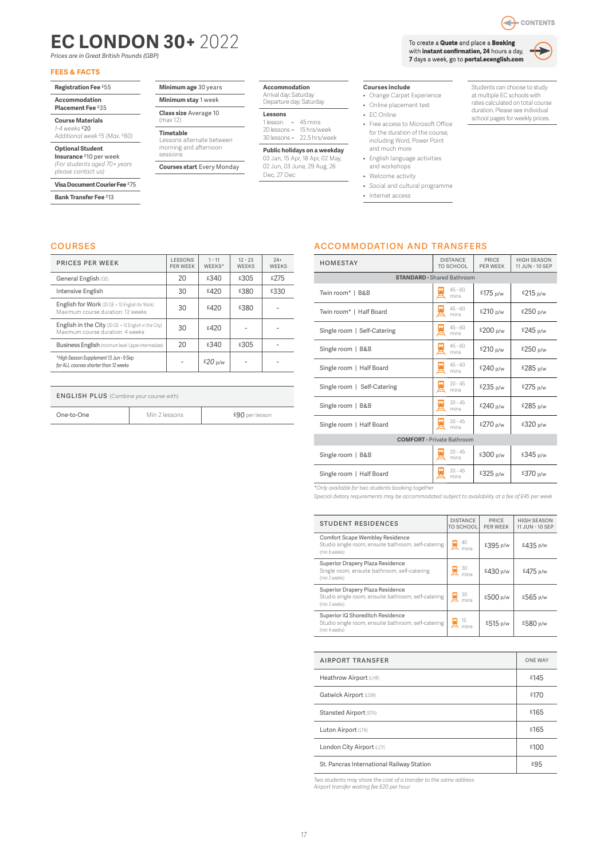# <span id="page-5-0"></span>**EC LONDON 30+** 2022

*Prices are in Great British Pounds (GBP)*

### **FEES & FACTS**

- **Registration Fee** £55
- **Accommodation**

**Placement Fee** £35

#### **Course Materials** *1-4 weeks* £20

*Additional week £5 (Max. £60)*

### **Optional Student**

**Insurance** £10 per week *(For students aged 70+ years please contact us)*

### **Visa Document Courier Fee** £75

**Bank Transfer Fee** £13

courses

### **Minimum age** 30 years

**Minimum stay** 1 week **Class size** Average 10

(max 12) **Timetable**

#### Lessons alternate between morning and afternoon sessions

**Courses start** Every Monday

#### **Accommodation** Arrival day: Saturday

Departure day: Saturday

### **Lessons**

1 lesson = 45 mins 20 lessons = 15 hrs/week 30 lessons = 22.5 hrs/week

**Public holidays on a weekday** 03 Jan, 15 Apr, 18 Apr, 02 May, 02 Jun, 03 June, 29 Aug, 26 Dec, 27 Dec

### **Courses include**

- Orange Carpet Experience
- Online placement test
- EC Online
- Free access to Microsoft Office for the duration of the course, including Word, Power Point and much more
- English language activities and workshops
- Welcome activity
- Social and cultural programme
- Internet access

Students can choose to study at multiple EC schools with rates calculated on total course duration. Please see individual school pages for weekly prices.

Q

# accommodation and transfers

| <b>HOMESTAY</b>                   | <b>DISTANCE</b><br><b>TO SCHOOL</b> | PRICE<br><b>PER WEEK</b> | <b>HIGH SEASON</b><br>11 JUN - 10 SEP |  |  |  |
|-----------------------------------|-------------------------------------|--------------------------|---------------------------------------|--|--|--|
| <b>STANDARD - Shared Bathroom</b> |                                     |                          |                                       |  |  |  |
| Twin room*   B&B                  | $45 - 60$<br>mins                   | £175 p/w                 | £215 p/w                              |  |  |  |
| Twin room*   Half Board           | $45 - 60$<br>mins                   | £210 p/w                 | £250 p/w                              |  |  |  |
| Single room   Self-Catering       | $45 - 60$<br>mins                   | £200 p/w                 | £245 p/w                              |  |  |  |
| Single room   B&B                 | $45 - 60$<br>mins                   | £210 p/w                 | £250p/w                               |  |  |  |
| Single room   Half Board          | $45 - 60$<br>mins                   | £240 p/w                 | £285 p/w                              |  |  |  |
| Single room   Self-Catering       | $20 - 45$<br>mins                   | £235 p/w                 | £275 p/w                              |  |  |  |
| Single room   B&B                 | $20 - 45$<br>mins                   | £240 p/w                 | £285 p/w                              |  |  |  |
| Single room   Half Board          | $20 - 45$<br>mins                   | £270 p/w                 | £320 p/w                              |  |  |  |
| <b>COMFORT</b> - Private Bathroom |                                     |                          |                                       |  |  |  |
| Single room   B&B                 | $20 - 45$<br>mins                   | £300 p/w                 | £345 p/w                              |  |  |  |
| Single room   Half Board          | $20 - 45$<br>mins                   | £325 p/w                 | £370 p/w                              |  |  |  |

*\*Only available for two students booking together*

*Special dietary requirements may be accommodated subject to availability at a fee of £45 per week* 

| <b>STUDENT RESIDENCES</b>                                                                                | <b>DISTANCE</b><br>TO SCHOOL | PRICE<br>PFR WFFK | <b>HIGH SEASON</b><br>11 JUN - 10 SEP |
|----------------------------------------------------------------------------------------------------------|------------------------------|-------------------|---------------------------------------|
| Comfort Scape Wembley Residence<br>Studio single room, ensuite bathroom, self-catering<br>(min 6 weeks)  | 40<br>mins                   | £395 p/w          | £435 p/w                              |
| Superior Drapery Plaza Residence<br>Single room, ensuite bathroom, self-catering<br>(min 2 weeks)        | 30<br>mins                   | £430 p/w          | £475 p/w                              |
| Superior Drapery Plaza Residence<br>Studio single room, ensuite bathroom, self-catering<br>(min 2 weeks) | 30<br>mins                   | £500 p/w          | £565 p/w                              |
| Superior iQ Shoreditch Residence<br>Studio single room, ensuite bathroom, self-catering<br>(min 4 weeks) | 15                           | £515 p/w          | £580 p/w                              |

| <b>AIRPORT TRANSFER</b>                   | <b>ONE WAY</b> |
|-------------------------------------------|----------------|
| Heathrow Airport (LHR)                    | £145           |
| Gatwick Airport (LGW)                     | £170           |
| Stansted Airport (STN)                    | £165           |
| Luton Airport (LTN)                       | £165           |
| London City Airport (LCY)                 | £100           |
| St. Pancras International Railway Station | £95            |

*Two students may share the cost of a transfer to the same address Airport transfer waiting fee £20 per hour*

| <b>PRICES PER WEEK</b>                                                                   | LESSONS<br><b>PER WEEK</b> | $1 - 11$<br>WEEKS* | $12 - 23$<br><b>WEEKS</b> | $24+$<br><b>WEEKS</b> |
|------------------------------------------------------------------------------------------|----------------------------|--------------------|---------------------------|-----------------------|
| General English (GE)                                                                     | 20                         | £340               | £305                      | £275                  |
| Intensive English                                                                        | 30                         | £420               | £380                      | £330                  |
| English for Work (20 GE + 10 English for Work)<br>Maximum course duration: 12 weeks      | 30                         | £420               | £380                      |                       |
| English in the City (20 GE + 10 English in the City)<br>Maximum course duration: 4 weeks | 30                         | £420               |                           |                       |
| Business English (minimum level: Upper-Intermediate)                                     | 20                         | £340               | £305                      |                       |
| *High Season Supplement 13 Jun - 9 Sep<br>for ALL courses shorter than 12 weeks          |                            | £20 p/w            |                           |                       |

### **ENGLISH PLUS** (Combine your course with)

| One-to-One | Min 2 lessons | £90 per lesson |
|------------|---------------|----------------|



17

To create a **Quote** and place a **Booking** with **instant confirmation, 24** hours a day, **7** days a week, go to **portal.ecenglish.com**



- CONTENTS

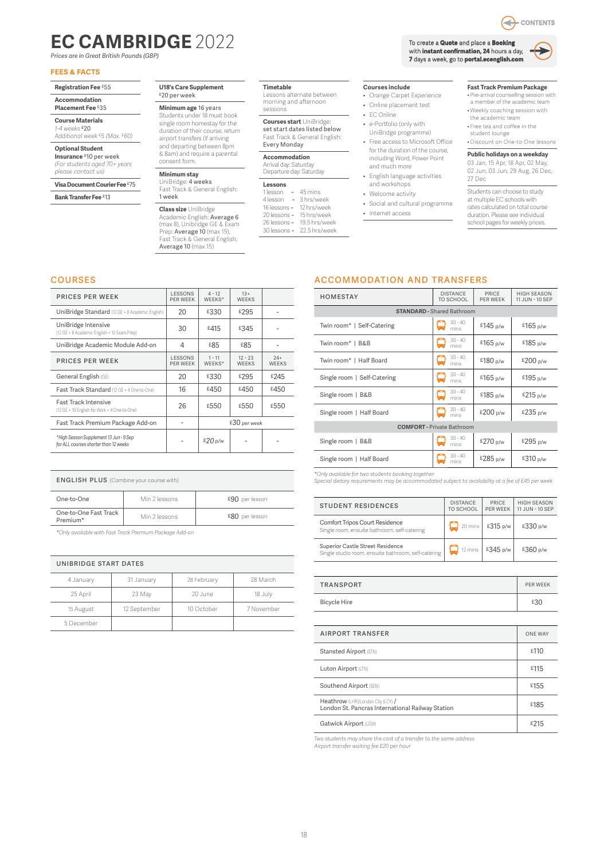## <span id="page-6-0"></span>**EC CAMBRIDGE** 2022

*Prices are in Great British Pounds (GBP)*

### **FEES & FACTS**

| Registration Fee £55 |
|----------------------|
| <b>Accommodation</b> |

### **Placement Fee** £35

**Course Materials**

*1-4 weeks* £20 *Additional week £5 (Max. £60)*

### **Optional Student**

**Insurance** £10 per week *(For students aged 70+ years please contact us)*

### **Visa Document Courier Fee** £75

**Bank Transfer Fee** £13

### £20 per week

**Minimum age** 16 years Students under 18 must book

### single room homestay for the

duration of their course, return airport transfers (if arriving and departing between 8pm

& 8am) and require a parental consent form.

### **Minimum stay**

UniBridge: **4 weeks**<br>Fast Track & General English: 1 week

**Class size** UniBridge Academic English: **Average 6**<br>(max 8), Unibridge GE & Exam Prep: Average 10 (max 15), Fast Track & General English: Average 10 (max 15)

### **U18's Care Supplement**

**Timetable** Lessons alternate between morning and afternoon sessions

> **Courses start** UniBridge: set start dates listed below Fast Track & General English: Every Monday

| <b>Accommodation</b>    |
|-------------------------|
| Arrival day: Saturday   |
| Departure day: Saturday |

### **Lessons**

- 1 lesson =  $45 \text{ mins}$ <br>4 lesson =  $3 \text{ hrs}/\text{we}$ 3 hrs/week<br>12 hrs/week 16 lessons = 12 hrs/week<br>20 lessons = 15 hrs/week 20 lessons = 15 hrs/week<br>26 lessons = 19.5 hrs/week
- $26$  lessons =  $30$  lessons = 22.5 hrs/week

**Courses include**

- Orange Carpet Experience
- Online placement test
- EC Online
- e-Portfolio (only with UniBridge programme)
- Free access to Microsoft Office for the duration of the course, including Word, Power Point and much more
- English language activities
- and workshops • Welcome activity
- Social and cultural programme

### • Internet access

### **Fast Track Premium Package**

- Pre-arrival counselling session with a member of the academic team
- Weekly coaching session with the academic team
- Free tea and coffee in the student lounge • Discount on One-to-One lessons

### **Public holidays on a weekday**

03 Jan, 15 Apr, 18 Apr, 02 May, 02 Jun, 03 Jun, 29 Aug, 26 Dec, 27 Dec

Students can choose to study at multiple EC schools with rates calculated on total course duration. Please see individual school pages for weekly prices

### courses

| <b>PRICES PER WEEK</b>                                                          | <b>LESSONS</b><br>PFR WFFK | $4 - 12$<br>WFFKS* | $13+$<br><b>WFFKS</b>     |                       |
|---------------------------------------------------------------------------------|----------------------------|--------------------|---------------------------|-----------------------|
| UniBridge Standard (12 GE + 8 Academic English)                                 | 20                         | £330               | £295                      |                       |
| UniBridge Intensive<br>(12 GE + 8 Academic English + 10 Exam Prep)              | 30                         | £415               | £345                      |                       |
| UniBridge Academic Module Add-on                                                | 4                          | £85                | £85                       |                       |
| <b>PRICES PER WEEK</b>                                                          | LESSONS<br><b>PFR WFFK</b> | $1 - 11$<br>WFFKS* | $12 - 23$<br><b>WFFKS</b> | $24+$<br><b>WEEKS</b> |
| General English (GE)                                                            | 20                         | £330               | £295                      | £245                  |
| Fast Track Standard (12 GE + 4 One-to-One)                                      | 16                         | £450               | £450                      | £450                  |
| <b>Fast Track Intensive</b><br>(12 GE + 10 English for Work + 4 One-to-One)     | 26                         | £550               | £550                      | £550                  |
| Fast Track Premium Package Add-on                                               |                            | £30 per week       |                           |                       |
| *High Season Supplement 13 Jun - 9 Sep<br>for ALL courses shorter than 12 weeks |                            | £20 p/w            |                           |                       |
|                                                                                 |                            |                    |                           |                       |

| <b>ENGLISH PLUS</b> (Combine your course with) |               |                |  |
|------------------------------------------------|---------------|----------------|--|
| One-to-One                                     | Min 2 lessons | £90 per lesson |  |
| One-to-One Fast Track<br>Premium*              | Min 2 lessons | £80 per lesson |  |
|                                                |               |                |  |

*\*Only available with Fast Track Premium Package Add-on* 

| UNIBRIDGE START DATES |              |             |            |  |  |
|-----------------------|--------------|-------------|------------|--|--|
| 4 January             | 31 January   | 28 February | 28 March   |  |  |
| 25 April              | 23 May       | 20 June     | 18 July    |  |  |
| 15 August             | 12 September | 10 October  | 7 November |  |  |
| 5 December            |              |             |            |  |  |

### accommodation and transfers

| <b>HOMESTAY</b>                   | <b>DISTANCE</b><br>TO SCHOOL      | PRICE<br><b>PER WEEK</b> | <b>HIGH SEASON</b><br>11 JUN - 10 SEP |  |
|-----------------------------------|-----------------------------------|--------------------------|---------------------------------------|--|
|                                   | <b>STANDARD - Shared Bathroom</b> |                          |                                       |  |
| Twin room*   Self-Catering        | $30 - 40$<br>mins                 | £145 $p/w$               | £165 p/w                              |  |
| Twin room*   B&B                  | $30 - 40$<br>mins                 | £165 $p/w$               | £185 p/w                              |  |
| Twin room*   Half Board           | $30 - 40$<br>┙<br>mins            | £180 $p/w$               | £200 p/w                              |  |
| Single room   Self-Catering       | $30 - 40$<br>⊌<br>mins            | £165 p/w                 | £195 p/w                              |  |
| Single room   B&B                 | $30 - 40$<br>mins                 | £185 p/w                 | £215 p/w                              |  |
| Single room   Half Board          | $30 - 40$<br>mins                 | £200 p/w                 | £235p/w                               |  |
| <b>COMFORT</b> - Private Bathroom |                                   |                          |                                       |  |
| Single room   B&B                 | $30 - 40$<br>mins                 | £270 p/w                 | £295 p/w                              |  |
| Single room   Half Board          | $30 - 40$<br>mins                 | £285 p/w                 | £310 p/w                              |  |

*\*Only available for two students booking together*

*Special dietary requirements may be accommodated subject to availability at a fee of £45 per week* 

| <b>STUDENT RESIDENCES</b>                                                               | <b>DISTANCE</b><br>TO SCHOOL | PRICE<br><b>PFR WFFK</b>   | <b>HIGH SEASON</b><br>11 JUN - 10 SEP |
|-----------------------------------------------------------------------------------------|------------------------------|----------------------------|---------------------------------------|
| Comfort Tripos Court Residence<br>Single room, ensuite bathroom, self-catering          |                              | $20 \text{ mins}$ £315 p/w | £330 p/w                              |
| Superior Castle Street Residence<br>Single studio room, ensuite bathroom, self-catering | $12 \text{ mins}$            | £345 p/w                   | £360 p/w                              |

| TRANSPORT    | <b>PER WEEK</b> |
|--------------|-----------------|
| Bicycle Hire | £30             |

| <b>AIRPORT TRANSFER</b>                                                                | <b>ONE WAY</b> |
|----------------------------------------------------------------------------------------|----------------|
| Stansted Airport (STN)                                                                 | £110           |
| Luton Airport (LTN)                                                                    | £115           |
| Southend Airport (SEN)                                                                 | £155           |
| Heathrow (LHR)/London City (LCY) /<br>London St. Pancras International Railway Station | £185           |
| Gatwick Airport (LGW)                                                                  | £215           |

*Two students may share the cost of a transfer to the same address*

*Airport transfer waiting fee £20 per hour*



ਵ

CONTENTS

with **instant confirmation, 24** hours a day, **7** days a week, go to **portal.ecenglish.com**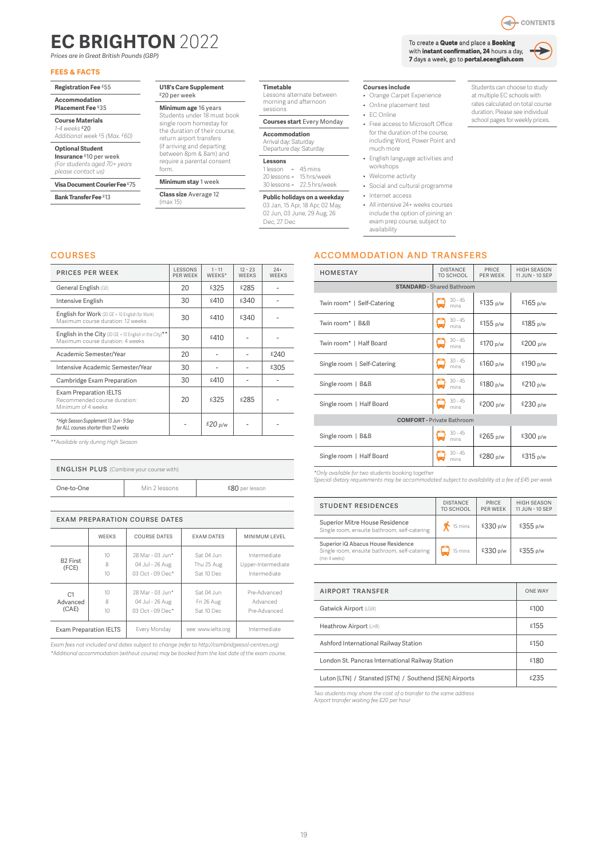# <span id="page-7-0"></span>**EC BRIGHTON** 2022

*Prices are in Great British Pounds (GBP)*

### **FEES & FACTS**

**Registration Fee** £55

#### **Accommodation Placement Fee** £35

**Course Materials**

*1-4 weeks* £20 *Additional week £5 (Max. £60)*

**Optional Student Insurance** £10 per week *(For students aged 70+ years* 

*please contact us)*

**Visa Document Courier Fee** £75

**Bank Transfer Fee** £13

#### **U18's Care Supplement** £20 per week

**Minimum age** 16 years Students under 18 must book single room homestay for the duration of their course,

return airport transfers (if arriving and departing between 8pm & 8am) and require a parental consent form.

### **Minimum stay** 1 week

**Class size** Average 12 (max 15)

**Timetable** Lessons alternate between morning and afternoon sessions

### **Courses start** Every Monday

**Accommodation** Arrival day: Saturday Departure day: Saturday

**Lessons**   $1$  lesson =  $45$  mins 20 lessons = 15 hrs/week

30 lessons = 22.5 hrs/week

**Public holidays on a weekday** 03 Jan, 15 Apr, 18 Apr, 02 May, 02 Jun, 03 June, 29 Aug, 26 Dec, 27 Dec

**Courses include**

- Orange Carpet Experience
- Online placement test
- EC Online
- Free access to Microsoft Office for the duration of the course, including Word, Power Point and much more
- English language activities and workshops
- Welcome activity
- Social and cultural programme
- Internet access
- All intensive 24+ weeks courses include the option of joining an exam prep course, subject to availability

Students can choose to study at multiple EC schools with rates calculated on total course duration. Please see individual school pages for weekly prices.

### courses

| <b>PRICES PER WEEK</b>                                                                     | <b>LESSONS</b><br>PFR WFFK | $1 - 11$<br>WFFKS* | $12 - 23$<br><b>WEEKS</b> | $24+$<br><b>WEEKS</b> |
|--------------------------------------------------------------------------------------------|----------------------------|--------------------|---------------------------|-----------------------|
| General English (GE)                                                                       | 20                         | £325               | £285                      |                       |
| Intensive English                                                                          | 30                         | £410               | £340                      |                       |
| English for Work (20 GE + 10 English for Work)<br>Maximum course duration: 12 weeks        | 30                         | £410               | £340                      |                       |
| English in the City (20 GE + 10 English in the City)**<br>Maximum course duration: 4 weeks | 30                         | £410               |                           |                       |
| Academic Semester/Year                                                                     | 20                         |                    |                           | £240                  |
| Intensive Academic Semester/Year                                                           | 30                         |                    |                           | £305                  |
| Cambridge Exam Preparation                                                                 | 30                         | £410               |                           |                       |
| <b>Exam Preparation IELTS</b><br>Recommended course duration:<br>Minimum of 4 weeks        | 20                         | £325               | £285                      |                       |
| *High Season Supplement 13 Jun - 9 Sep<br>for ALL courses shorter than 12 weeks            |                            | £20 $p/w$          |                           |                       |

*\*\*Available only during High Season* 

| <b>ENGLISH PLUS</b> (Combine your course with) |               |                |  |  |
|------------------------------------------------|---------------|----------------|--|--|
| One-to-One                                     | Min 2 lessons | £80 per lesson |  |  |

| <b>EXAM PREPARATION COURSE DATES</b> |                                         |                                                           |                                        |                                                    |  |
|--------------------------------------|-----------------------------------------|-----------------------------------------------------------|----------------------------------------|----------------------------------------------------|--|
|                                      | <b>WFFKS</b>                            | <b>COURSE DATES</b>                                       | <b>EXAM DATES</b>                      | MINIMUM LEVEL                                      |  |
| B <sub>2</sub> First<br>(FCE)        | 10 <sup>1</sup><br>8<br>10 <sup>1</sup> | 28 Mar - 03 Jun*<br>04 Jul - 26 Aug<br>$03$ Oct - 09 Dec* | Sat 04 Jun<br>Thu 25 Aug<br>Sat 10 Dec | Intermediate<br>Upper-Intermediate<br>Intermediate |  |
| C1<br>Advanced<br>(CAE)              | $10^{-1}$<br>8<br>10 <sup>1</sup>       | 28 Mar - 03 Jun*<br>04 Jul - 26 Aug<br>$03$ Oct - 09 Dec* | Sat 04 Jun<br>Fri 26 Aug<br>Sat 10 Dec | Pre-Advanced<br>Advanced<br>Pre-Advanced           |  |
|                                      | <b>Exam Preparation IELTS</b>           | Every Monday                                              | see: www.ielts.org                     | Intermediate                                       |  |

*Exam fees not included and dates subject to change (refer to http://cambridgeesol-centres.org) \*Additional accommodation (without course) may be booked from the last date of the exam course.* accommodation and transfers

| <b>HOMESTAY</b>             | <b>DISTANCE</b><br>TO SCHOOL      | PRICE<br>PER WEEK | <b>HIGH SEASON</b><br>11 JUN - 10 SEP |  |  |  |  |
|-----------------------------|-----------------------------------|-------------------|---------------------------------------|--|--|--|--|
|                             | <b>STANDARD - Shared Bathroom</b> |                   |                                       |  |  |  |  |
| Twin room*   Self-Catering  | $30 - 45$<br>mins                 | £135 p/w          | £165 p/w                              |  |  |  |  |
| Twin room*   B&B            | $30 - 45$<br>mins                 | £155 p/w          | £185 p/w                              |  |  |  |  |
| Twin room*   Half Board     | $30 - 45$<br>mins                 | £170 p/w          | £200 p/w                              |  |  |  |  |
| Single room   Self-Catering | $30 - 45$<br>mins                 | £160 p/w          | £190 p/w                              |  |  |  |  |
| Single room   B&B           | $30 - 45$<br>mins                 | £180 p/w          | £210 p/w                              |  |  |  |  |
| Single room   Half Board    | $30 - 45$<br>mins                 | £200 p/w          | £230 p/w                              |  |  |  |  |
|                             | <b>COMFORT</b> - Private Bathroom |                   |                                       |  |  |  |  |
| Single room   B&B           | $30 - 45$<br>mins                 | £265 p/w          | £300 p/w                              |  |  |  |  |
| Single room   Half Board    | $30 - 45$<br>mins                 | £280 p/w          | £315 p/w                              |  |  |  |  |

*\*Only available for two students booking together*

*Special dietary requirements may be accommodated subject to availability at a fee of £45 per week* 

| <b>STUDENT RESIDENCES</b>                                                                           | <b>DISTANCE</b><br>TO SCHOOL | PRICE<br><b>PFR WFFK</b> | <b>HIGH SFASON</b><br>11 JUN - 10 SEP |
|-----------------------------------------------------------------------------------------------------|------------------------------|--------------------------|---------------------------------------|
| Superior Mitre House Residence<br>Single room, ensuite bathroom, self-catering                      | $\bigwedge$ 15 mins          | £330 p/w                 | £355 p/w                              |
| Superior iQ Abacus House Residence<br>Single room, ensuite bathroom, self-catering<br>(min 4 weeks) | 15 mins                      | £330 p/w                 | £355 p/w                              |

| <b>AIRPORT TRANSFER</b>                                | <b>ONE WAY</b> |
|--------------------------------------------------------|----------------|
| Gatwick Airport (LGW)                                  | £100           |
| Heathrow Airport (LHR)                                 | £155           |
| Ashford International Railway Station                  | £150           |
| London St. Pancras International Railway Station       | £180           |
| Luton [LTN] / Stansted [STN] / Southend [SEN] Airports | £235           |

*Two students may share the cost of a transfer to the same address Airport transfer waiting fee £20 per hour*

19



To create a **Quote** and place a **Booking** with **instant confirmation, 24** hours a day, **7** days a week, go to **portal.ecenglish.com**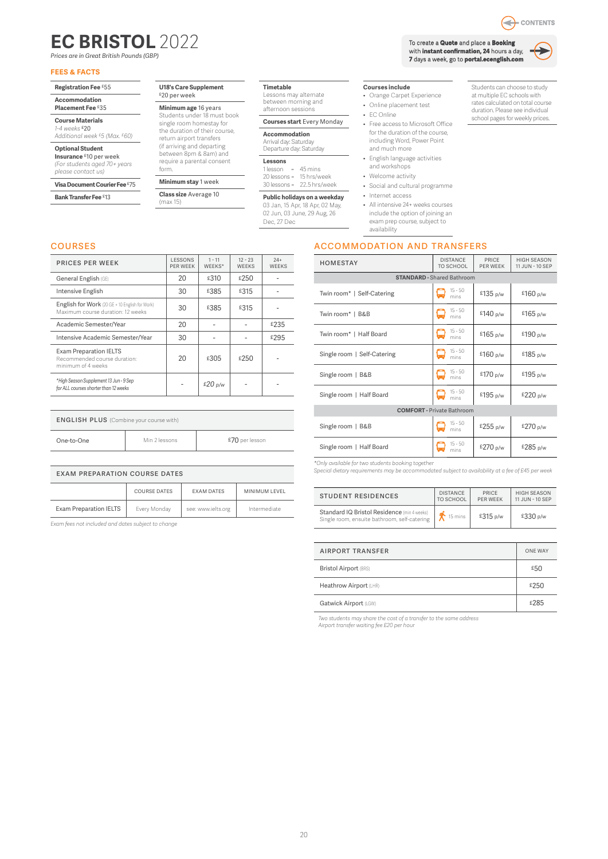# <span id="page-8-0"></span>**EC BRISTOL** 2022

*Prices are in Great British Pounds (GBP)*

### **FEES & FACTS**

| Registration Fee £55 |  |
|----------------------|--|
| Accommodation        |  |

### **Placement Fee** £35

**Course Materials** *1-4 weeks* £20

*Additional week £5 (Max. £60)*

**Optional Student Insurance** £10 per week *(For students aged 70+ years* 

*please contact us)* **Visa Document Courier Fee** £75

**Bank Transfer Fee** £13

#### **U18's Care Supplement** £20 per week

**Minimum age** 16 years Students under 18 must book single room homestay for the duration of their course,

return airport transfers

### **Minimum stay** 1 week

**Class size** Average 10 (max 15)

**Timetable** Lessons may alternate between morning and afternoon sessions

**Courses start** Every Monday

**Accommodation** Arrival day: Saturday Departure day: Saturday

**Lessons** 

 $1$  lesson =  $45$  mins 20 lessons = 15 hrs/week 30 lessons = 22.5 hrs/week

**Public holidays on a weekday** 03 Jan, 15 Apr, 18 Apr, 02 May,

02 Jun, 03 June, 29 Aug, 26 Dec, 27 Dec

### **Courses include**

- Orange Carpet Experience • Online placement test
- 
- EC Online
- Free access to Microsoft Office for the duration of the course, including Word, Power Point and much more
- English language activities and workshops
- Welcome activity
- Social and cultural programme
- Internet access
- All intensive 24+ weeks courses include the option of joining an
- exam prep course, subject to availability

### accommodation and transfers

| <b>HOMESTAY</b>                   | <b>DISTANCE</b><br><b>TO SCHOOL</b> | PRICE<br>PER WEEK | <b>HIGH SEASON</b><br>11 JUN - 10 SEP |  |
|-----------------------------------|-------------------------------------|-------------------|---------------------------------------|--|
|                                   | <b>STANDARD - Shared Bathroom</b>   |                   |                                       |  |
| Twin room*   Self-Catering        | $15 - 50$<br>mins                   | £135 p/w          | £160 p/w                              |  |
| Twin room*   B&B                  | $15 - 50$<br>mins                   | £140 p/w          | £165 p/w                              |  |
| Twin room*   Half Board           | $15 - 50$<br>mins                   | £165 p/w          | £190 $p/w$                            |  |
| Single room   Self-Catering       | $15 - 50$<br>mins                   | £160 p/w          | £185 p/w                              |  |
| Single room   B&B                 | $15 - 50$<br>mins                   | £170 p/w          | £195 p/w                              |  |
| Single room   Half Board          | $15 - 50$<br>mins                   | £195 $p/w$        | £220 p/w                              |  |
| <b>COMFORT</b> - Private Bathroom |                                     |                   |                                       |  |
| Single room   B&B                 | $15 - 50$<br>mins                   | £255 p/w          | £270 p/w                              |  |
| Single room   Half Board          | $15 - 50$<br>mins                   | £270 p/w          | £285 p/w                              |  |

*\*Only available for two students booking together Special dietary requirements may be accommodated subject to availability at a fee of £45 per week* 

| <b>STUDENT RESIDENCES</b>                                                                   | <b>DISTANCE</b> | PRICE           | <b>HIGH SEASON</b> |
|---------------------------------------------------------------------------------------------|-----------------|-----------------|--------------------|
|                                                                                             | TO SCHOOL       | <b>PER WEEK</b> | 11 JUN - 10 SEP    |
| Standard IQ Bristol Residence (min 4 weeks)<br>Single room, ensuite bathroom, self-catering | 15 mins         | £315 p/w        | £330 p/w           |

| AIRPORT TRANSFER             | <b>ONE WAY</b> |
|------------------------------|----------------|
| <b>Bristol Airport (BRS)</b> | £50            |
| Heathrow Airport (LHR)       | £250           |
| Gatwick Airport (LGW)        | £285           |

*Two students may share the cost of a transfer to the same address Airport transfer waiting fee £20 per hour*

Q - CONTENTS

To create a **Quote** and place a **Booking** with **instant confirmation, 24** hours a day, **7** days a week, go to **portal.ecenglish.com**



Students can choose to study at multiple EC schools with rates calculated on total course duration. Please see individual school pages for weekly prices.

| <b>PRICES PER WEEK</b>                                                              | LESSONS<br>PFR WFFK | $1 - 11$<br>WFFKS* | $12 - 23$<br><b>WFFKS</b> | $24+$<br><b>WEEKS</b> |
|-------------------------------------------------------------------------------------|---------------------|--------------------|---------------------------|-----------------------|
| General English (GE)                                                                | 20                  | £310               | £250                      |                       |
| Intensive English                                                                   | 30                  | £385               | £315                      |                       |
| English for Work (20 GE + 10 English for Work)<br>Maximum course duration: 12 weeks | 30                  | £385               | £315                      |                       |
| Academic Semester/Year                                                              | 20                  |                    |                           | £235                  |
| Intensive Academic Semester/Year                                                    | 30                  |                    |                           | £295                  |
| <b>Exam Preparation IELTS</b><br>Recommended course duration:<br>minimum of 4 weeks | 20                  | £305               | £250                      |                       |
| *High Season Supplement 13 Jun - 9 Sep<br>for ALL courses shorter than 12 weeks     |                     | £20 p/w            |                           |                       |

| One-to-One<br>£70 per lesson<br>Min 2 lessons |  |
|-----------------------------------------------|--|

| <b>EXAM PREPARATION COURSE DATES</b> |              |                    |               |  |
|--------------------------------------|--------------|--------------------|---------------|--|
|                                      | COURSE DATES | <b>EXAM DATES</b>  | MINIMUM LEVEL |  |
| <b>Exam Preparation IELTS</b>        | Every Monday | see: www.ielts.org | Intermediate  |  |

*Exam fees not included and dates subject to change*

### (if arriving and departing between 8pm & 8am) and require a parental consent form.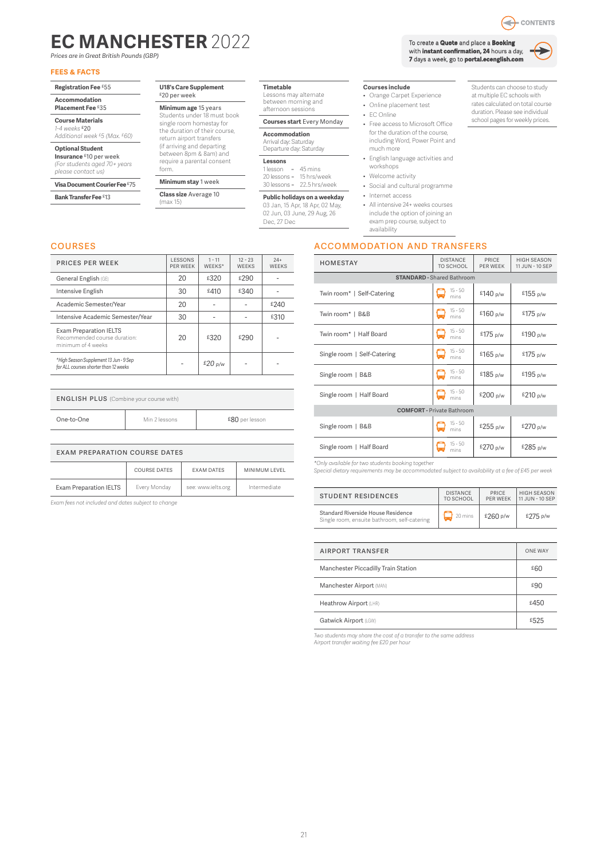# <span id="page-9-0"></span>**EC MANCHESTER** 2022

*Prices are in Great British Pounds (GBP)*

### **FEES & FACTS**

**Registration Fee** £55

#### **Accommodation Placement Fee** £35

**Course Materials**

#### *1-4 weeks* £20 *Additional week £5 (Max. £60)*

**Optional Student Insurance** £10 per week *(For students aged 70+ years* 

*please contact us)*

### **Visa Document Courier Fee** £75

*\*High Season Supplement 13 Jun - 9 Sep*

**Bank Transfer Fee** £13

courses

#### **U18's Care Supplement** £20 per week

**Minimum age** 15 years Students under 18 must book single room homestay for

return airport transfers (if arriving and departing between 8pm & 8am) and

## form.

**Class size** Average 10

(max 15)

### **Timetable** Lessons may alternate

between morning and afternoon sessions

### **Courses start** Every Monday

**Accommodation** Arrival day: Saturday Departure day: Saturday

**Lessons**   $1$  lesson =  $45$  mins

24+ WEEKS

### 20 lessons = 15 hrs/week 30 lessons = 22.5 hrs/week

### **Public holidays on a weekday** 03 Jan, 15 Apr, 18 Apr, 02 May,

02 Jun, 03 June, 29 Aug, 26 Dec, 27 Dec

### **Courses include**

- Orange Carpet Experience • Online placement test
- 
- EC Online
- Free access to Microsoft Office for the duration of the course, including Word, Power Point and much more
- English language activities and workshops
- Welcome activity
- Social and cultural programme
- Internet access
- All intensive 24+ weeks courses include the option of joining an exam prep course, subject to
- availability

### accommodation and transfers

| <b>HOMESTAY</b>                   | <b>DISTANCE</b><br>TO SCHOOL | PRICE<br>PER WEEK | <b>HIGH SEASON</b><br>11 JUN - 10 SEP |  |  |
|-----------------------------------|------------------------------|-------------------|---------------------------------------|--|--|
| <b>STANDARD - Shared Bathroom</b> |                              |                   |                                       |  |  |
| Twin room*   Self-Catering        | $15 - 50$<br>mins            | £140 p/w          | £155 $p/w$                            |  |  |
| Twin room*   B&B                  | $15 - 50$<br>mins            | £160 p/w          | £175 p/w                              |  |  |
| Twin room*   Half Board           | $15 - 50$<br>mins            | £175 p/w          | £190 p/w                              |  |  |
| Single room   Self-Catering       | $15 - 50$<br>mins            | £165 $p/w$        | £175 p/w                              |  |  |
| Single room   B&B                 | $15 - 50$<br>mins            | £185 p/w          | £195 p/w                              |  |  |
| Single room   Half Board          | $15 - 50$<br>mins            | £200 p/w          | £210 p/w                              |  |  |
| <b>COMFORT</b> - Private Bathroom |                              |                   |                                       |  |  |
| Single room   B&B                 | $15 - 50$<br>mins            | £255 p/w          | £270 p/w                              |  |  |
| Single room   Half Board          | $15 - 50$<br>mins            | £270 p/w          | £285 p/w                              |  |  |

*\*Only available for two students booking together Special dietary requirements may be accommodated subject to availability at a fee of £45 per week* 

| <b>STUDENT RESIDENCES</b>                                                          | <b>DISTANCE</b>        | PRICE           | <b>HIGH SEASON</b> |
|------------------------------------------------------------------------------------|------------------------|-----------------|--------------------|
|                                                                                    | <b>TO SCHOOL</b>       | <b>PER WEEK</b> | 11.JUN - 10 SEP    |
| Standard Riverside House Residence<br>Single room, ensuite bathroom, self-catering | $\frac{1}{20}$ 20 mins | £260 p/w        | £275 p/w           |

| <b>AIRPORT TRANSFER</b>             | <b>ONE WAY</b> |
|-------------------------------------|----------------|
| Manchester Piccadilly Train Station | £60            |
| Manchester Airport (MAN)            | £90            |
| Heathrow Airport (LHR)              | £450           |
| Gatwick Airport (LGW)               | £525           |

*Two students may share the cost of a transfer to the same address Airport transfer waiting fee £20 per hour*

| <b>PRICES PER WEEK</b>                                                              | LESSONS<br>PER WEEK | $1 - 11$<br>WFFKS* | $12 - 23$<br><b>WEEKS</b> | $24+$<br><b>WFFK</b> |
|-------------------------------------------------------------------------------------|---------------------|--------------------|---------------------------|----------------------|
| General English (GE)                                                                | 20                  | £320               | £290                      |                      |
| Intensive English                                                                   | 30                  | £410               | £340                      |                      |
| Academic Semester/Year                                                              | 20                  |                    |                           | £240                 |
| Intensive Academic Semester/Year                                                    | 30                  |                    |                           | £310                 |
| <b>Exam Preparation IELTS</b><br>Recommended course duration:<br>minimum of 4 weeks | 20                  | £320               | £290                      |                      |

*for ALL courses shorter than 12 weeks* - *£20 p/w* - -

| <b>ENGLISH PLUS</b> (Combine your course with) |               |                |  |
|------------------------------------------------|---------------|----------------|--|
| One-to-One                                     | Min 2 lessons | £80 per lesson |  |

| EXAM PREPARATION COURSE DATES |              |                    |               |  |
|-------------------------------|--------------|--------------------|---------------|--|
|                               | COURSE DATES | <b>FXAM DATES</b>  | MINIMUM LEVEL |  |
| <b>Exam Preparation IELTS</b> | Every Monday | see: www.ielts.org | Intermediate  |  |

*Exam fees not included and dates subject to change*

To create a **Quote** and place a **Booking** with **instant confirmation, 24** hours a day, **7** days a week, go to **portal.ecenglish.com**



CONTENTS



school pages for weekly prices.

ਵ

the duration of their course, require a parental consent

**Minimum stay** 1 week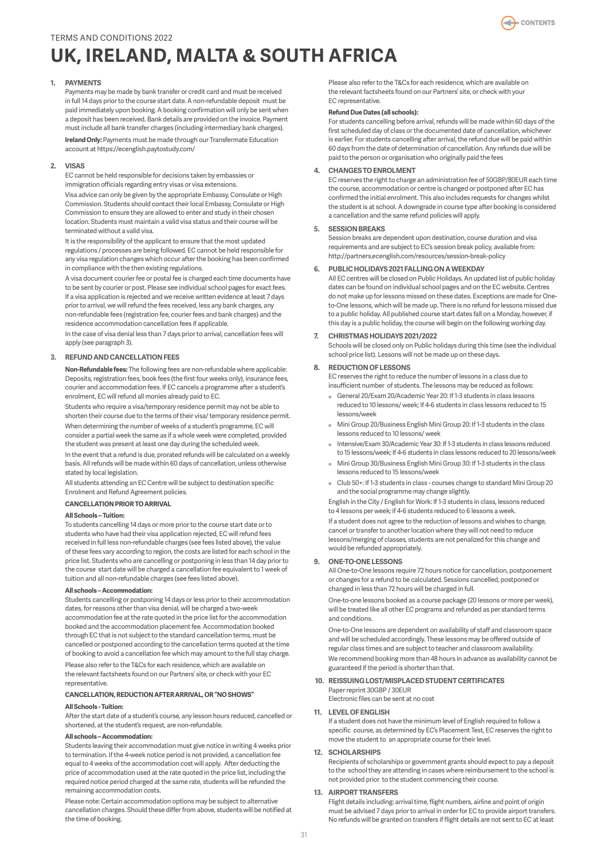# <span id="page-10-0"></span>**UK, IRELAND, MALTA & SOUTH AFRICA**

### **1. PAYMENTS**

Payments may be made by bank transfer or credit card and must be received in full 14 days prior to the course start date. A non-refundable deposit must be paid immediately upon booking. A booking confirmation will only be sent when a deposit has been received. Bank details are provided on the invoice. Payment must include all bank transfer charges (including intermediary bank charges).

**Ireland Only:** Payments must be made through our Transfermate Education account at https://ecenglish.paytostudy.com/

#### **2. VISAS**

EC cannot be held responsible for decisions taken by embassies or immigration officials regarding entry visas or visa extensions.

Visa advice can only be given by the appropriate Embassy, Consulate or High Commission. Students should contact their local Embassy, Consulate or High Commission to ensure they are allowed to enter and study in their chosen location. Students must maintain a valid visa status and their course will be terminated without a valid visa.

It is the responsibility of the applicant to ensure that the most updated regulations / processes are being followed. EC cannot be held responsible for any visa regulation changes which occur after the booking has been confirmed in compliance with the then existing regulations.

A visa document courier fee or postal fee is charged each time documents have to be sent by courier or post. Please see individual school pages for exact fees. If a visa application is rejected and we receive written evidence at least 7 days prior to arrival, we will refund the fees received, less any bank charges, any non-refundable fees (registration fee, courier fees and bank charges) and the residence accommodation cancellation fees if applicable.

In the case of visa denial less than 7 days prior to arrival, cancellation fees will apply (see paragraph 3).

### **3. REFUND AND CANCELLATION FEES**

**Non-Refundable fees:** The following fees are non-refundable where applicable: Deposits, registration fees, book fees (the first four weeks only), insurance fees, courier and accommodation fees. If EC cancels a programme after a student's enrolment, EC will refund all monies already paid to EC.

Students who require a visa/temporary residence permit may not be able to shorten their course due to the terms of their visa/ temporary residence permit. When determining the number of weeks of a student's programme, EC will consider a partial week the same as if a whole week were completed, provided the student was present at least one day during the scheduled week.

In the event that a refund is due, prorated refunds will be calculated on a weekly basis. All refunds will be made within 60 days of cancellation, unless otherwise stated by local legislation.

All students attending an EC Centre will be subject to destination specific Enrolment and Refund Agreement policies.

#### **CANCELLATION PRIOR TO ARRIVAL**

#### **All Schools – Tuition:**

To students cancelling 14 days or more prior to the course start date or to students who have had their visa application rejected, EC will refund fees received in full less non-refundable charges (see fees listed above), the value of these fees vary according to region, the costs are listed for each school in the price list. Students who are cancelling or postponing in less than 14 day prior to the course start date will be charged a cancellation fee equivalent to 1 week of tuition and all non-refundable charges (see fees listed above).

### **All schools – Accommodation:**

Students cancelling or postponing 14 days or less prior to their accommodation dates, for reasons other than visa denial, will be charged a two-week accommodation fee at the rate quoted in the price list for the accommodation booked and the accommodation placement fee. Accommodation booked through EC that is not subject to the standard cancellation terms, must be cancelled or postponed according to the cancellation terms quoted at the time of booking to avoid a cancellation fee which may amount to the full stay charge.

Please also refer to the T&Cs for each residence, which are available on the relevant factsheets found on our Partners' site, or check with your EC representative.

#### **CANCELLATION, REDUCTION AFTER ARRIVAL, OR "NO SHOWS"**

#### **All Schools - Tuition:**

After the start date of a student's course, any lesson hours reduced, cancelled or shortened, at the student's request, are non-refundable.

#### **All schools – Accommodation:**

Students leaving their accommodation must give notice in writing 4 weeks prior to termination. If the 4-week notice period is not provided, a cancellation fee equal to 4 weeks of the accommodation cost will apply. After deducting the price of accommodation used at the rate quoted in the price list, including the required notice period charged at the same rate, students will be refunded the remaining accommodation costs.

Please note: Certain accommodation options may be subject to alternative cancellation charges. Should these differ from above, students will be notified at the time of booking.

Please also refer to the T&Cs for each residence, which are available on the relevant factsheets found on our Partners' site, or check with your EC representative.

#### **Refund Due Dates (all schools):**

For students cancelling before arrival, refunds will be made within 60 days of the first scheduled day of class or the documented date of cancellation, whichever is earlier. For students cancelling after arrival, the refund due will be paid within 60 days from the date of determination of cancellation. Any refunds due will be paid to the person or organisation who originally paid the fees

#### **4. CHANGES TO ENROLMENT**

EC reserves the right to charge an administration fee of 50GBP/80EUR each time the course, accommodation or centre is changed or postponed after EC has confirmed the initial enrolment. This also includes requests for changes whilst the student is at school. A downgrade in course type after booking is considered a cancellation and the same refund policies will apply.

### **5. SESSION BREAKS**

Session breaks are dependent upon destination, course duration and visa requirements and are subject to EC's session break policy, available from: http://partners.ecenglish.com/resources/session-break-policy

#### **6. PUBLIC HOLIDAYS 2021 FALLING ON A WEEKDAY**

All EC centres will be closed on Public Holidays. An updated list of public holiday dates can be found on individual school pages and on the EC website. Centres do not make up for lessons missed on these dates. Exceptions are made for Oneto-One lessons, which will be made up. There is no refund for lessons missed due to a public holiday. All published course start dates fall on a Monday, however, if this day is a public holiday, the course will begin on the following working day.

### **7. CHRISTMAS HOLIDAYS 2021/2022**

Schools will be closed only on Public holidays during this time (see the individual school price list). Lessons will not be made up on these days.

### **8. REDUCTION OF LESSONS**

EC reserves the right to reduce the number of lessons in a class due to insufficient number of students. The lessons may be reduced as follows:

- General 20/Exam 20/Academic Year 20: If 1-3 students in class lessons reduced to 10 lessons/ week; If 4-6 students in class lessons reduced to 15 lessons/week
- Mini Group 20/Business English Mini Group 20: If 1-3 students in the class lessons reduced to 10 lessons/ week
- Intensive/Exam 30/Academic Year 30: If 1-3 students in class lessons reduced to 15 lessons/week; If 4-6 students in class lessons reduced to 20 lessons/week
- Mini Group 30/Business English Mini Group 30: If 1-3 students in the class lessons reduced to 15 lessons/week
- Club 50+: If 1-3 students in class courses change to standard Mini Group 20 and the social programme may change slightly.

English in the City / English for Work: If 1-3 students in class, lessons reduced to 4 lessons per week; if 4-6 students reduced to 6 lessons a week.

If a student does not agree to the reduction of lessons and wishes to change, cancel or transfer to another location where they will not need to reduce lessons/merging of classes, students are not penalized for this change and would be refunded appropriately.

#### **9. ONE-TO-ONE LESSONS**

All One-to-One lessons require 72 hours notice for cancellation, postponement or changes for a refund to be calculated. Sessions cancelled, postponed or changed in less than 72 hours will be charged in full.

One-to-one lessons booked as a course package (20 lessons or more per week), will be treated like all other EC programs and refunded as per standard terms and conditions.

One-to-One lessons are dependent on availability of staff and classroom space and will be scheduled accordingly. These lessons may be offered outside of regular class times and are subject to teacher and classroom availability. We recommend booking more than 48 hours in advance as availability cannot be guaranteed if the period is shorter than that.

### **10. REISSUING LOST/MISPLACED STUDENT CERTIFICATES**  Paper reprint 30GBP / 30EUR

Electronic files can be sent at no cost

#### **11. LEVEL OF ENGLISH**

If a student does not have the minimum level of English required to follow a specific course, as determined by EC's Placement Test, EC reserves the right to move the student to an appropriate course for their level.

#### **12. SCHOLARSHIPS**

Recipients of scholarships or government grants should expect to pay a deposit to the school they are attending in cases where reimbursement to the school is not provided prior to the student commencing their course.

#### **13. AIRPORT TRANSFERS**

Flight details including: arrival time, flight numbers, airline and point of origin must be advised 7 days prior to arrival in order for EC to provide airport transfers. No refunds will be granted on transfers if flight details are not sent to EC at least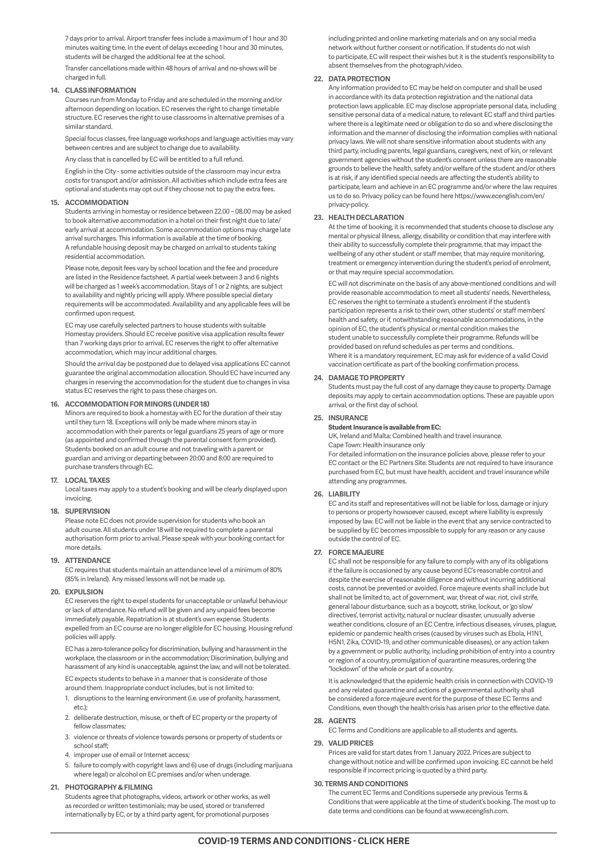7 days prior to arrival. Airport transfer fees include a maximum of 1 hour and 30 minutes waiting time. In the event of delays exceeding 1 hour and 30 minutes, students will be charged the additional fee at the school.

Transfer cancellations made within 48 hours of arrival and no-shows will be charged in full.

### **14. CLASS INFORMATION**

Courses run from Monday to Friday and are scheduled in the morning and/or afternoon depending on location. EC reserves the right to change timetable structure. EC reserves the right to use classrooms in alternative premises of a similar standard.

Special focus classes, free language workshops and language activities may vary between centres and are subject to change due to availability.

Any class that is cancelled by EC will be entitled to a full refund.

English in the City - some activities outside of the classroom may incur extra costs for transport and/or admission. All activities which include extra fees are optional and students may opt out if they choose not to pay the extra fees.

### **15. ACCOMMODATION**

Students arriving in homestay or residence between 22.00 – 08.00 may be asked to book alternative accommodation in a hotel on their first night due to late/ early arrival at accommodation. Some accommodation options may charge late arrival surcharges. This information is available at the time of booking. A refundable housing deposit may be charged on arrival to students taking residential accommodation.

Please note, deposit fees vary by school location and the fee and procedure are listed in the Residence factsheet. A partial week between 3 and 6 nights will be charged as 1 week's accommodation. Stays of 1 or 2 nights, are subject to availability and nightly pricing will apply. Where possible special dietary requirements will be accommodated. Availability and any applicable fees will be confirmed upon request.

EC may use carefully selected partners to house students with suitable Homestay providers. Should EC receive positive visa application results fewer than 7 working days prior to arrival, EC reserves the right to offer alternative accommodation, which may incur additional charges.

Should the arrival day be postponed due to delayed visa applications EC cannot guarantee the original accommodation allocation. Should EC have incurred any charges in reserving the accommodation for the student due to changes in visa status EC reserves the right to pass these charges on.

### **16. ACCOMMODATION FOR MINORS (UNDER 18)**

Minors are required to book a homestay with EC for the duration of their stay until they turn 18. Exceptions will only be made where minors stay in accommodation with their parents or legal guardians 25 years of age or more (as appointed and confirmed through the parental consent form provided). Students booked on an adult course and not traveling with a parent or guardian and arriving or departing between 20:00 and 8:00 are required to purchase transfers through EC.

### **17. LOCAL TAXES**

Local taxes may apply to a student's booking and will be clearly displayed upon invoicing.

### **18. SUPERVISION**

Please note EC does not provide supervision for students who book an adult course. All students under 18 will be required to complete a parental authorisation form prior to arrival. Please speak with your booking contact for more details.

### **19. ATTENDANCE**

EC requires that students maintain an attendance level of a minimum of 80% (85% in Ireland). Any missed lessons will not be made up.

### **20. EXPULSION**

EC reserves the right to expel students for unacceptable or unlawful behaviour or lack of attendance. No refund will be given and any unpaid fees become immediately payable. Repatriation is at student's own expense. Students expelled from an EC course are no longer eligible for EC housing. Housing refund policies will apply.

EC has a zero-tolerance policy for discrimination, bullying and harassment in the workplace, the classroom or in the accommodation; Discrimination, bullying and harassment of any kind is unacceptable, against the law, and will not be tolerated.

EC expects students to behave in a manner that is considerate of those around them. Inappropriate conduct includes, but is not limited to:

- 1. disruptions to the learning environment (i.e. use of profanity, harassment, etc.);
- 2. deliberate destruction, misuse, or theft of EC property or the property of fellow classmates;
- 3. violence or threats of violence towards persons or property of students or school staff;
- 4. improper use of email or Internet access;
- 5. failure to comply with copyright laws and 6) use of drugs (including marijuana where legal) or alcohol on EC premises and/or when underage.

### **21. PHOTOGRAPHY & FILMING**

Students agree that photographs, videos, artwork or other works, as well as recorded or written testimonials; may be used, stored or transferred internationally by EC, or by a third party agent, for promotional purposes

including printed and online marketing materials and on any social media network without further consent or notification. If students do not wish to participate, EC will respect their wishes but it is the student's responsibility to absent themselves from the photograph/video.

### **22. DATA PROTECTION**

Any information provided to EC may be held on computer and shall be used in accordance with its data protection registration and the national data protection laws applicable. EC may disclose appropriate personal data, including sensitive personal data of a medical nature, to relevant EC staff and third parties where there is a legitimate need or obligation to do so and where disclosing the information and the manner of disclosing the information complies with national privacy laws. We will not share sensitive information about students with any third party, including parents, legal guardians, caregivers, next of kin, or relevant government agencies without the student's consent unless there are reasonable grounds to believe the health, safety and/or welfare of the student and/or others is at risk, if any identified special needs are affecting the student's ability to participate, learn and achieve in an EC programme and/or where the law requires us to do so. Privacy policy can be found here https://www.ecenglish.com/en/ privacy-policy.

### **23. HEALTH DECLARATION**

At the time of booking, it is recommended that students choose to disclose any mental or physical illness, allergy, disability or condition that may interfere with their ability to successfully complete their programme, that may impact the wellbeing of any other student or staff member, that may require monitoring, treatment or emergency intervention during the student's period of enrolment, or that may require special accommodation.

EC will not discriminate on the basis of any above-mentioned conditions and will provide reasonable accommodation to meet all students' needs. Nevertheless, EC reserves the right to terminate a student's enrolment if the student's participation represents a risk to their own, other students' or staff members' health and safety, or if, notwithstanding reasonable accommodations, in the opinion of EC, the student's physical or mental condition makes the student unable to successfully complete their programme. Refunds will be provided based on refund schedules as per terms and conditions. Where it is a mandatory requirement, EC may ask for evidence of a valid Covid vaccination certificate as part of the booking confirmation process.

### **24. DAMAGE TO PROPERTY**

Students must pay the full cost of any damage they cause to property. Damage deposits may apply to certain accommodation options. These are payable upon arrival, or the first day of school.

### **25. INSURANCE**

**Student Insurance is available from EC:**

UK, Ireland and Malta: Combined health and travel insurance. Cape Town: Health insurance only

For detailed information on the insurance policies above, please refer to your EC contact or the EC Partners Site. Students are not required to have insurance purchased from EC, but must have health, accident and travel insurance while attending any programmes.

### **26. LIABILITY**

EC and its staff and representatives will not be liable for loss, damage or injury to persons or property howsoever caused, except where liability is expressly imposed by law. EC will not be liable in the event that any service contracted to be supplied by EC becomes impossible to supply for any reason or any cause outside the control of EC.

### **27. FORCE MAJEURE**

EC shall not be responsible for any failure to comply with any of its obligations if the failure is occasioned by any cause beyond EC's reasonable control and despite the exercise of reasonable diligence and without incurring additional costs, cannot be prevented or avoided. Force majeure events shall include but shall not be limited to, act of government, war, threat of war, riot, civil strife, general labour disturbance, such as a boycott, strike, lockout, or 'go slow' directives', terrorist activity, natural or nuclear disaster, unusually adverse weather conditions, closure of an EC Centre, infectious diseases, viruses, plague, epidemic or pandemic health crises (caused by viruses such as Ebola, H1N1, H5N1, Zika, COVID-19, and other communicable diseases), or any action taken by a government or public authority, including prohibition of entry into a country or region of a country, promulgation of quarantine measures, ordering the "lockdown" of the whole or part of a country.

It is acknowledged that the epidemic health crisis in connection with COVID-19 and any related quarantine and actions of a governmental authority shall be considered a force majeure event for the purpose of these EC Terms and Conditions, even though the health crisis has arisen prior to the effective date.

### **28. AGENTS**

EC Terms and Conditions are applicable to all students and agents.

### **29. VALID PRICES**

Prices are valid for start dates from 1 January 2022. Prices are subject to change without notice and will be confirmed upon invoicing. EC cannot be held responsible if incorrect pricing is quoted by a third party.

### **30. TERMS AND CONDITIONS**

The current EC Terms and Conditions supersede any previous Terms & Conditions that were applicable at the time of student's booking. The most up to date terms and conditions can be found at www.ecenglish.com.